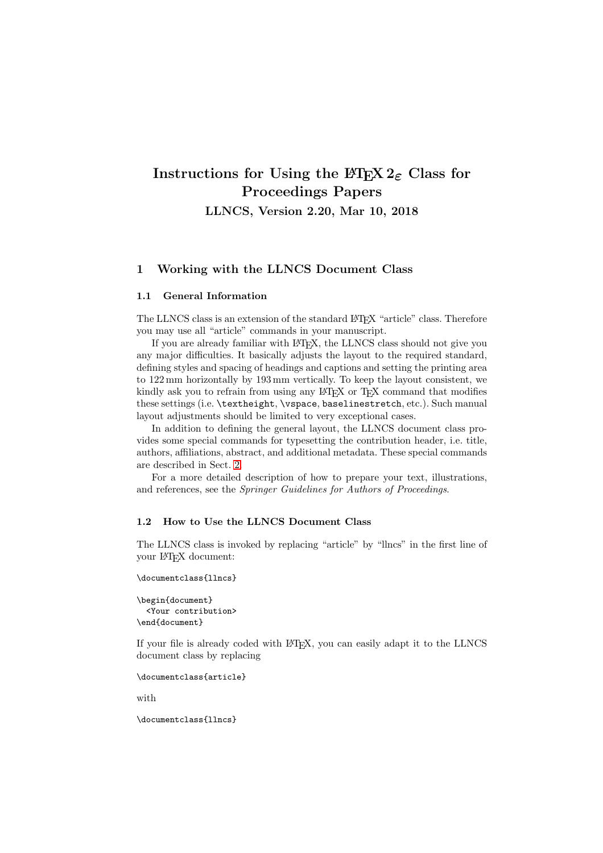# **Instructions for Using the**  $\text{HTr}X$  **2***ε* **Class for Proceedings Papers**

**LLNCS, Version 2.20, Mar 10, 2018**

# **1 Working with the LLNCS Document Class**

# **1.1 General Information**

The LLNCS class is an extension of the standard LATEX "article" class. Therefore you may use all "article" commands in your manuscript.

If you are already familiar with LATEX, the LLNCS class should not give you any major difficulties. It basically adjusts the layout to the required standard, defining styles and spacing of headings and captions and setting the printing area to 122 mm horizontally by 193 mm vertically. To keep the layout consistent, we kindly ask you to refrain from using any LAT<sub>EX</sub> or T<sub>EX</sub> command that modifies these settings (i.e. \textheight, \vspace, baselinestretch, etc.). Such manual layout adjustments should be limited to very exceptional cases.

In addition to defining the general layout, the LLNCS document class provides some special commands for typesetting the contribution header, i.e. title, authors, affiliations, abstract, and additional metadata. These special commands are described in Sect. [2.](#page-1-0)

For a more detailed description of how to prepare your text, illustrations, and references, see the Springer Guidelines for Authors of Proceedings.

#### **1.2 How to Use the LLNCS Document Class**

The LLNCS class is invoked by replacing "article" by "llncs" in the first line of your LATEX document:

```
\documentclass{llncs}
```

```
\begin{document}
  <Your contribution>
\end{document}
```
If your file is already coded with LATEX, you can easily adapt it to the LLNCS document class by replacing

```
\documentclass{article}
```
with

\documentclass{llncs}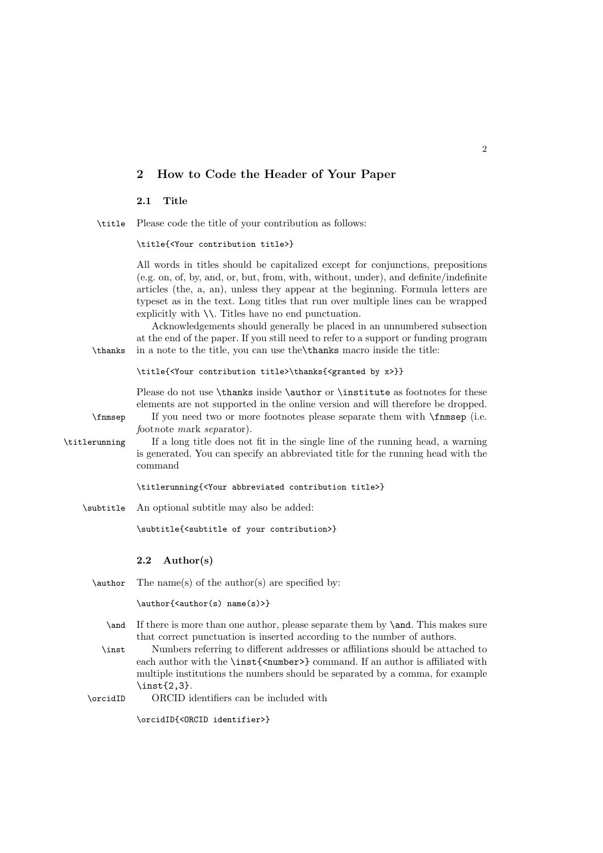# <span id="page-1-0"></span>**2 How to Code the Header of Your Paper**

#### **2.1 Title**

\title Please code the title of your contribution as follows:

\title{<Your contribution title>}

All words in titles should be capitalized except for conjunctions, prepositions (e.g. on, of, by, and, or, but, from, with, without, under), and definite/indefinite articles (the, a, an), unless they appear at the beginning. Formula letters are typeset as in the text. Long titles that run over multiple lines can be wrapped explicitly with \\. Titles have no end punctuation.

Acknowledgements should generally be placed in an unnumbered subsection at the end of the paper. If you still need to refer to a support or funding program \thanks in a note to the title, you can use the\thanks macro inside the title:

\title{<Your contribution title>\thanks{<granted by x>}}

Please do not use \thanks inside \author or \institute as footnotes for these elements are not supported in the online version and will therefore be dropped.

\fnmsep If you need two or more footnotes please separate them with \fnmsep (i.e. footnote mark separator).

\titlerunning If a long title does not fit in the single line of the running head, a warning is generated. You can specify an abbreviated title for the running head with the command

\titlerunning{<Your abbreviated contribution title>}

\subtitle An optional subtitle may also be added:

\subtitle{<subtitle of your contribution>}

# **2.2 Author(s)**

 $\a$ uthor The name(s) of the author(s) are specified by:

\author{<author(s) name(s)>}

- \and If there is more than one author, please separate them by \and. This makes sure that correct punctuation is inserted according to the number of authors.
- \inst Numbers referring to different addresses or affiliations should be attached to each author with the \inst{<number>} command. If an author is affiliated with multiple institutions the numbers should be separated by a comma, for example \inst{2,3}.
- \orcidID ORCID identifiers can be included with

\orcidID{<ORCID identifier>}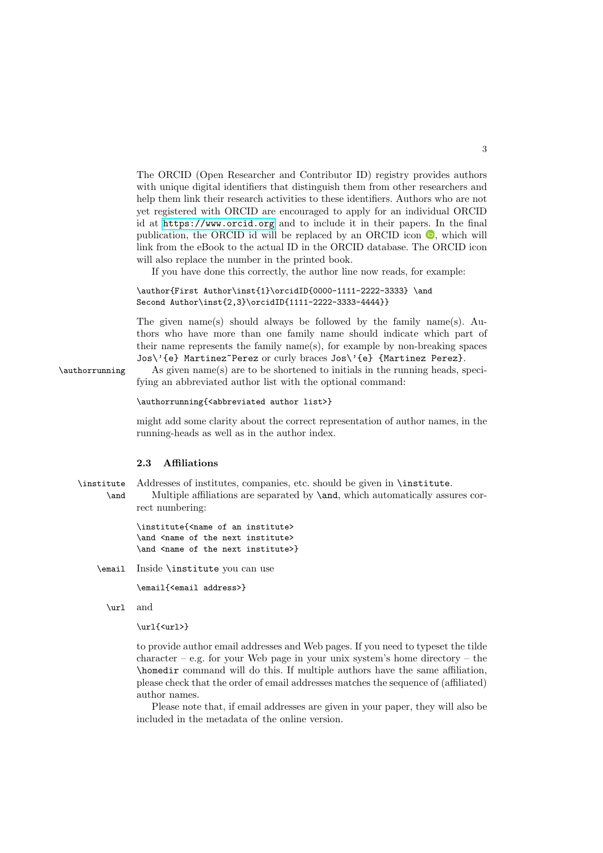The ORCID (Open Researcher and Contributor ID) registry provides authors with unique digital identifiers that distinguish them from other researchers and help them link their research activities to these identifiers. Authors who are not yet registered with ORCID are encouraged to apply for an individual ORCID id at <https://www.orcid.org> and to include it in their papers. In the final publication, the ORCID id will be replaced by an ORCID icon  $\bullet$ , which will link from the eBook to the actual ID in the ORCID database. The ORCID icon will also replace the number in the printed book.

If you have done this correctly, the author line now reads, for example:

```
\author{First Author\inst{1}\orcidID{0000-1111-2222-3333} \and
Second Author\inst{2,3}\orcidID{1111-2222-3333-4444}}
```
The given name(s) should always be followed by the family name(s). Authors who have more than one family name should indicate which part of their name represents the family name(s), for example by non-breaking spaces Jos\'{e} Martinez~Perez or curly braces Jos\'{e} {Martinez Perez}.

\authorrunning As given name(s) are to be shortened to initials in the running heads, specifying an abbreviated author list with the optional command:

#### \authorrunning{<abbreviated author list>}

might add some clarity about the correct representation of author names, in the running-heads as well as in the author index.

#### **2.3 Affiliations**

\institute Addresses of institutes, companies, etc. should be given in \institute. \and Multiple affiliations are separated by \and, which automatically assures correct numbering:

> \institute{<name of an institute> \and <name of the next institute> \and <name of the next institute>}

\email Inside \institute you can use

\email{<email address>}

\url and

\url{<url>}

to provide author email addresses and Web pages. If you need to typeset the tilde  $character - e.g.$  for your Web page in your unix system's home directory – the \homedir command will do this. If multiple authors have the same affiliation, please check that the order of email addresses matches the sequence of (affiliated) author names.

Please note that, if email addresses are given in your paper, they will also be included in the metadata of the online version.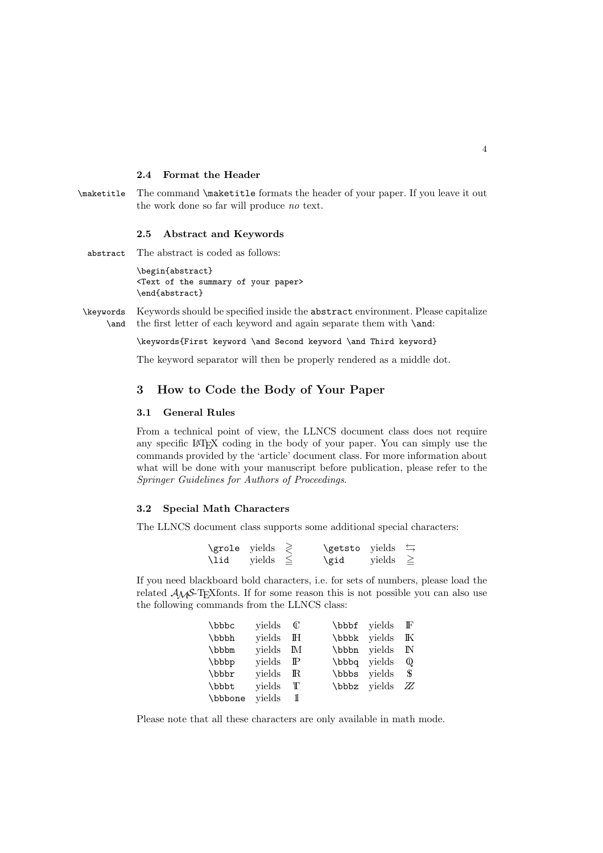### **2.4 Format the Header**

\maketitle The command \maketitle formats the header of your paper. If you leave it out the work done so far will produce no text.

#### **2.5 Abstract and Keywords**

abstract The abstract is coded as follows:

\begin{abstract} <Text of the summary of your paper> \end{abstract}

\keywords Keywords should be specified inside the abstract environment. Please capitalize \and the first letter of each keyword and again separate them with \and:

\keywords{First keyword \and Second keyword \and Third keyword}

The keyword separator will then be properly rendered as a middle dot.

# **3 How to Code the Body of Your Paper**

#### **3.1 General Rules**

From a technical point of view, the LLNCS document class does not require any specific LATEX coding in the body of your paper. You can simply use the commands provided by the 'article' document class. For more information about what will be done with your manuscript before publication, please refer to the Springer Guidelines for Authors of Proceedings.

#### **3.2 Special Math Characters**

The LLNCS document class supports some additional special characters:

| $\qquad \qquad \text{yields} \geq$ |               | <b>\getsto</b> yields $\leftrightarrows$ |               |  |
|------------------------------------|---------------|------------------------------------------|---------------|--|
| \lid                               | vields $\leq$ | \gid                                     | yields $\geq$ |  |

If you need blackboard bold characters, i.e. for sets of numbers, please load the related  $A\mathcal{M}S$ -T<sub>E</sub>Xfonts. If for some reason this is not possible you can also use the following commands from the LLNCS class:

| \bbbc   | vields $\mathbb C$ |              | \bbbf yields | $\mathbb{F}$ |
|---------|--------------------|--------------|--------------|--------------|
| \bbbh   | yields             | $\mathbb{H}$ | \bbbk yields | K            |
| \bbbm   | vields M           |              | \bbbn yields | IN           |
| \bbbp   | vields             | $\mathbb{P}$ | bbbq vields  | $\omega$     |
| \bbbr   | vields             | $\mathbb R$  | bbbs vields  | - S          |
| \bbbt   | vields             | T            | bbbz yields  | ZZ           |
| \bbbone | yields             | 11           |              |              |

Please note that all these characters are only available in math mode.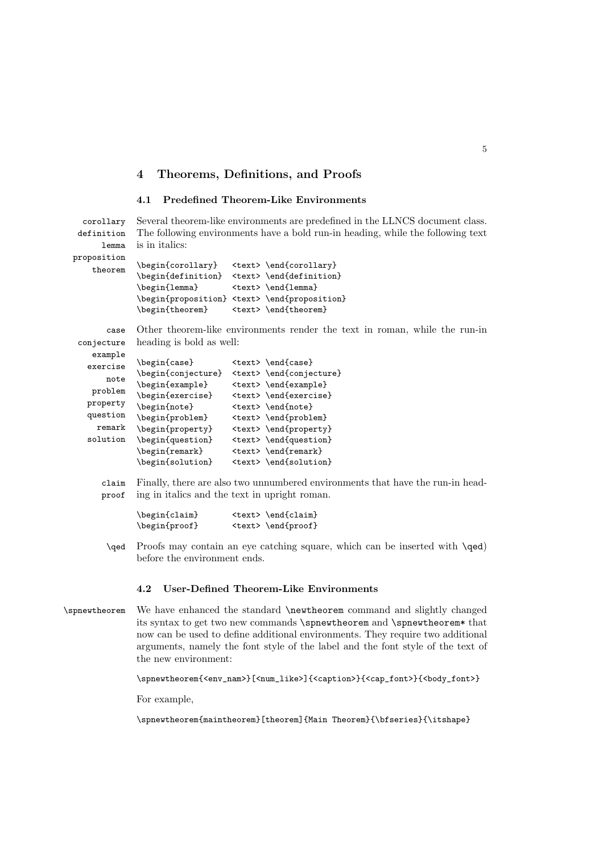# **4 Theorems, Definitions, and Proofs**

# **4.1 Predefined Theorem-Like Environments**

\begin{note} <text> \end{note} \begin{problem} <text> \end{problem} \begin{property} <text> \end{property} \begin{question} <text> \end{question} \begin{remark} <text> \end{remark} \begin{solution} <text> \end{solution}

proof ing in italics and the text in upright roman.

\begin{claim} <text> \end{claim} \begin{proof} <text> \end{proof}

| corollary                     |                                                       | Several theorem-like environments are predefined in the LLNCS document class.                                                                                                                               |
|-------------------------------|-------------------------------------------------------|-------------------------------------------------------------------------------------------------------------------------------------------------------------------------------------------------------------|
| definition                    |                                                       | The following environments have a bold run-in heading, while the following text                                                                                                                             |
| lemma                         | is in italics:                                        |                                                                                                                                                                                                             |
| proposition<br>theorem        | \begin{corollary}<br>\begin{lemma}<br>\begin{theorem} | <text> \end{corollary}<br/>\begin{definition} <text> \end{definition}<br/><math>\texttt{1emma}</math><br/>\begin{proposition} <text> \end{proposition}<br/><text> \end{theorem}</text></text></text></text> |
| case<br>conjecture<br>example | heading is bold as well:                              | Other theorem-like environments render the text in roman, while the run-in                                                                                                                                  |
| exercise<br>note<br>problem   | \begin{case}<br>\begin{example}<br>\begin{exercise}   | $\texttt{\end{case}}$<br>\begin{conjecture} <text> \end{conjecture}<br/><text> \end{example}<br/><text> \end{exercise}</text></text></text>                                                                 |

\qed Proofs may contain an eye catching square, which can be inserted with \qed) before the environment ends.

claim Finally, there are also two unnumbered environments that have the run-in head-

#### **4.2 User-Defined Theorem-Like Environments**

\spnewtheorem We have enhanced the standard \newtheorem command and slightly changed its syntax to get two new commands \spnewtheorem and \spnewtheorem\* that now can be used to define additional environments. They require two additional arguments, namely the font style of the label and the font style of the text of the new environment:

\spnewtheorem{<env\_nam>}[<num\_like>]{<caption>}{<cap\_font>}{<br/><br/><br/></>/>

For example,

property question remark solution

\spnewtheorem{maintheorem}[theorem]{Main Theorem}{\bfseries}{\itshape}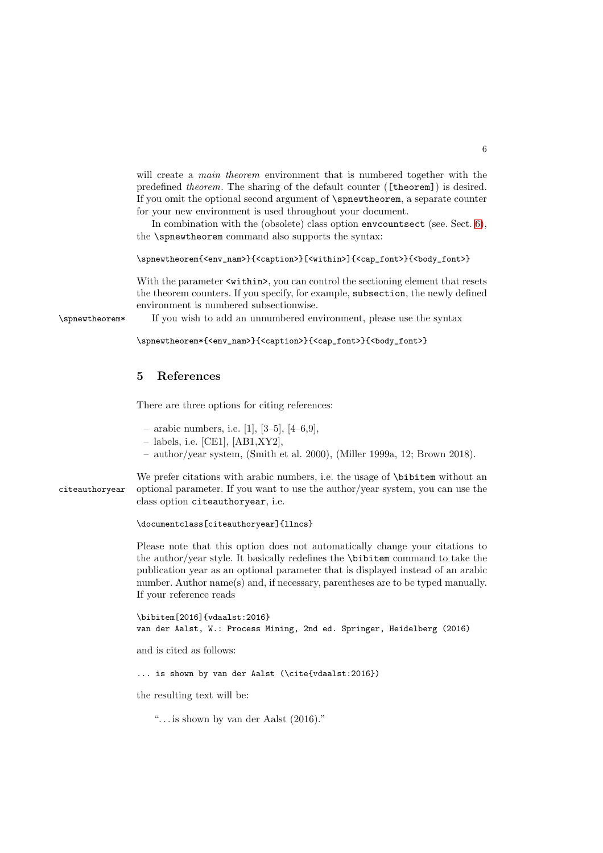will create a *main theorem* environment that is numbered together with the predefined theorem. The sharing of the default counter ([theorem]) is desired. If you omit the optional second argument of \spnewtheorem, a separate counter for your new environment is used throughout your document.

In combination with the (obsolete) class option envcountsect (see. Sect. [6\)](#page-6-0), the \spnewtheorem command also supports the syntax:

\spnewtheorem{<env\_nam>}{<caption>}[<within>]{<cap\_font>}{<br/><br/><br/></>/>

With the parameter  $\langle \text{within} \rangle$ , you can control the sectioning element that resets the theorem counters. If you specify, for example, subsection, the newly defined environment is numbered subsectionwise.

\spnewtheorem\* If you wish to add an unnumbered environment, please use the syntax

\spnewtheorem\*{<env\_nam>}{<caption>}{<cap\_font>}{<br/><br/>{<br/><br/></></>

# **5 References**

There are three options for citing references:

- arabic numbers, i.e. [1], [3–5], [4–6,9],
- labels, i.e. [CE1], [AB1,XY2],
- author/year system, (Smith et al. 2000), (Miller 1999a, 12; Brown 2018).

We prefer citations with arabic numbers, i.e. the usage of \bibitem without an citeauthoryear optional parameter. If you want to use the author/year system, you can use the class option citeauthoryear, i.e.

\documentclass[citeauthoryear]{llncs}

Please note that this option does not automatically change your citations to the author/year style. It basically redefines the \bibitem command to take the publication year as an optional parameter that is displayed instead of an arabic number. Author name(s) and, if necessary, parentheses are to be typed manually. If your reference reads

```
\bibitem[2016]{vdaalst:2016}
van der Aalst, W.: Process Mining, 2nd ed. Springer, Heidelberg (2016)
```
and is cited as follows:

... is shown by van der Aalst (\cite{vdaalst:2016})

the resulting text will be:

". . . is shown by van der Aalst (2016)."